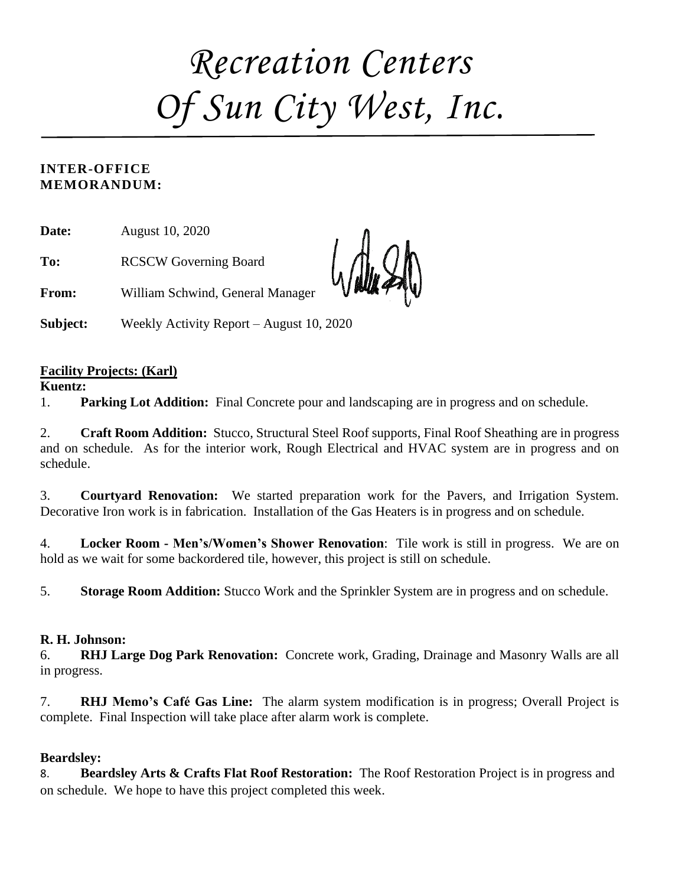# *Recreation Centers Of Sun City West, Inc.*

#### **INTER-OFFICE MEMORANDUM:**

**Date:** August 10, 2020

**To:** RCSCW Governing Board

**From:** William Schwind, General Manager

**Subject:** Weekly Activity Report – August 10, 2020

#### **Facility Projects: (Karl)**

#### **Kuentz:**

1. **Parking Lot Addition:** Final Concrete pour and landscaping are in progress and on schedule.

2. **Craft Room Addition:** Stucco, Structural Steel Roof supports, Final Roof Sheathing are in progress and on schedule. As for the interior work, Rough Electrical and HVAC system are in progress and on schedule.

3. **Courtyard Renovation:** We started preparation work for the Pavers, and Irrigation System. Decorative Iron work is in fabrication. Installation of the Gas Heaters is in progress and on schedule.

4. **Locker Room - Men's/Women's Shower Renovation**: Tile work is still in progress. We are on hold as we wait for some backordered tile, however, this project is still on schedule.

5. **Storage Room Addition:** Stucco Work and the Sprinkler System are in progress and on schedule.

#### **R. H. Johnson:**

6. **RHJ Large Dog Park Renovation:** Concrete work, Grading, Drainage and Masonry Walls are all in progress.

7. **RHJ Memo's Café Gas Line:** The alarm system modification is in progress; Overall Project is complete. Final Inspection will take place after alarm work is complete.

#### **Beardsley:**

8. **Beardsley Arts & Crafts Flat Roof Restoration:** The Roof Restoration Project is in progress and on schedule. We hope to have this project completed this week.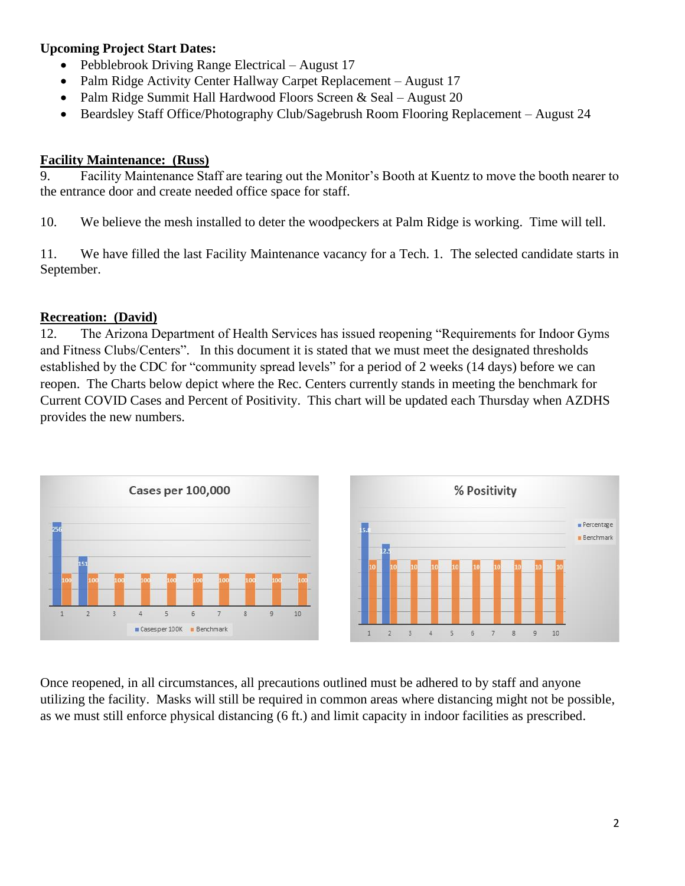#### **Upcoming Project Start Dates:**

- Pebblebrook Driving Range Electrical August 17
- Palm Ridge Activity Center Hallway Carpet Replacement August 17
- Palm Ridge Summit Hall Hardwood Floors Screen & Seal August 20
- Beardsley Staff Office/Photography Club/Sagebrush Room Flooring Replacement August 24

#### **Facility Maintenance: (Russ)**

9. Facility Maintenance Staff are tearing out the Monitor's Booth at Kuentz to move the booth nearer to the entrance door and create needed office space for staff.

10. We believe the mesh installed to deter the woodpeckers at Palm Ridge is working. Time will tell.

11. We have filled the last Facility Maintenance vacancy for a Tech. 1. The selected candidate starts in September.

#### **Recreation: (David)**

12. The Arizona Department of Health Services has issued reopening "Requirements for Indoor Gyms and Fitness Clubs/Centers". In this document it is stated that we must meet the designated thresholds established by the CDC for "community spread levels" for a period of 2 weeks (14 days) before we can reopen. The Charts below depict where the Rec. Centers currently stands in meeting the benchmark for Current COVID Cases and Percent of Positivity. This chart will be updated each Thursday when AZDHS provides the new numbers.



Once reopened, in all circumstances, all precautions outlined must be adhered to by staff and anyone utilizing the facility. Masks will still be required in common areas where distancing might not be possible, as we must still enforce physical distancing (6 ft.) and limit capacity in indoor facilities as prescribed.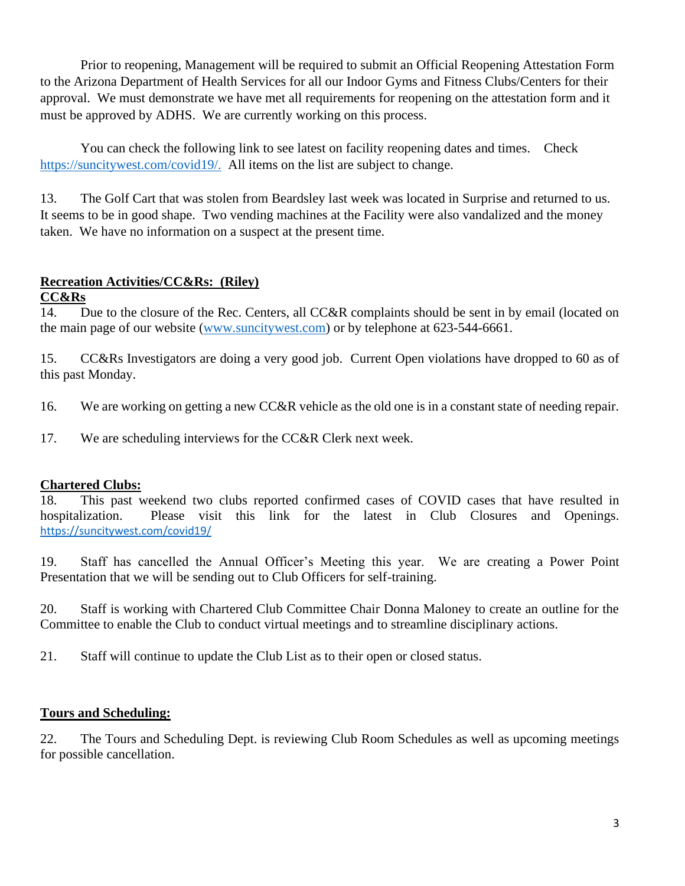Prior to reopening, Management will be required to submit an Official Reopening Attestation Form to the Arizona Department of Health Services for all our Indoor Gyms and Fitness Clubs/Centers for their approval. We must demonstrate we have met all requirements for reopening on the attestation form and it must be approved by ADHS. We are currently working on this process.

You can check the following link to see latest on facility reopening dates and times. Check [https://suncitywest.com/covid19/.](https://suncitywest.com/covid19/) All items on the list are subject to change.

13. The Golf Cart that was stolen from Beardsley last week was located in Surprise and returned to us. It seems to be in good shape. Two vending machines at the Facility were also vandalized and the money taken. We have no information on a suspect at the present time.

#### **Recreation Activities/CC&Rs: (Riley)**

#### **CC&Rs**

14. Due to the closure of the Rec. Centers, all CC&R complaints should be sent in by email (located on the main page of our website [\(www.suncitywest.com\)](http://www.suncitywest.com/) or by telephone at 623-544-6661.

15. CC&Rs Investigators are doing a very good job. Current Open violations have dropped to 60 as of this past Monday.

16. We are working on getting a new CC&R vehicle as the old one is in a constant state of needing repair.

17. We are scheduling interviews for the CC&R Clerk next week.

#### **Chartered Clubs:**

18. This past weekend two clubs reported confirmed cases of COVID cases that have resulted in hospitalization. Please visit this link for the latest in Club Closures and Openings. <https://suncitywest.com/covid19/>

19. Staff has cancelled the Annual Officer's Meeting this year. We are creating a Power Point Presentation that we will be sending out to Club Officers for self-training.

20. Staff is working with Chartered Club Committee Chair Donna Maloney to create an outline for the Committee to enable the Club to conduct virtual meetings and to streamline disciplinary actions.

21. Staff will continue to update the Club List as to their open or closed status.

#### **Tours and Scheduling:**

22. The Tours and Scheduling Dept. is reviewing Club Room Schedules as well as upcoming meetings for possible cancellation.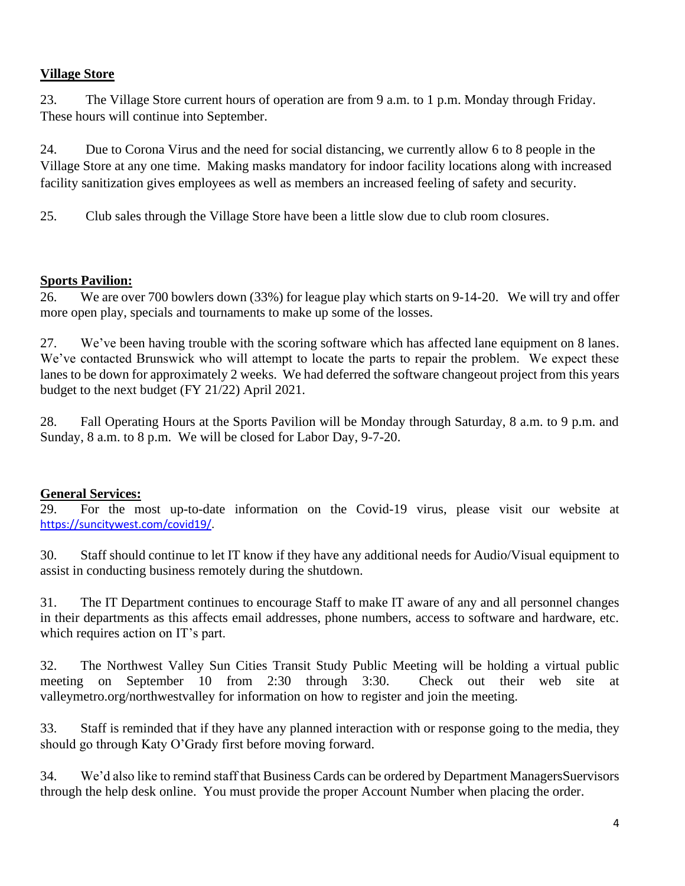#### **Village Store**

23. The Village Store current hours of operation are from 9 a.m. to 1 p.m. Monday through Friday. These hours will continue into September.

24. Due to Corona Virus and the need for social distancing, we currently allow 6 to 8 people in the Village Store at any one time. Making masks mandatory for indoor facility locations along with increased facility sanitization gives employees as well as members an increased feeling of safety and security.

25. Club sales through the Village Store have been a little slow due to club room closures.

#### **Sports Pavilion:**

26. We are over 700 bowlers down (33%) for league play which starts on 9-14-20. We will try and offer more open play, specials and tournaments to make up some of the losses.

27. We've been having trouble with the scoring software which has affected lane equipment on 8 lanes. We've contacted Brunswick who will attempt to locate the parts to repair the problem. We expect these lanes to be down for approximately 2 weeks. We had deferred the software changeout project from this years budget to the next budget (FY 21/22) April 2021.

28. Fall Operating Hours at the Sports Pavilion will be Monday through Saturday, 8 a.m. to 9 p.m. and Sunday, 8 a.m. to 8 p.m. We will be closed for Labor Day, 9-7-20.

#### **General Services:**

29. For the most up-to-date information on the Covid-19 virus, please visit our website at [https://suncitywest.com/covid19/.](https://suncitywest.com/covid19/)

30. Staff should continue to let IT know if they have any additional needs for Audio/Visual equipment to assist in conducting business remotely during the shutdown.

31. The IT Department continues to encourage Staff to make IT aware of any and all personnel changes in their departments as this affects email addresses, phone numbers, access to software and hardware, etc. which requires action on IT's part.

32. The Northwest Valley Sun Cities Transit Study Public Meeting will be holding a virtual public meeting on September 10 from 2:30 through 3:30. Check out their web site at valleymetro.org/northwestvalley for information on how to register and join the meeting.

33. Staff is reminded that if they have any planned interaction with or response going to the media, they should go through Katy O'Grady first before moving forward.

34. We'd also like to remind staff that Business Cards can be ordered by Department ManagersSuervisors through the help desk online. You must provide the proper Account Number when placing the order.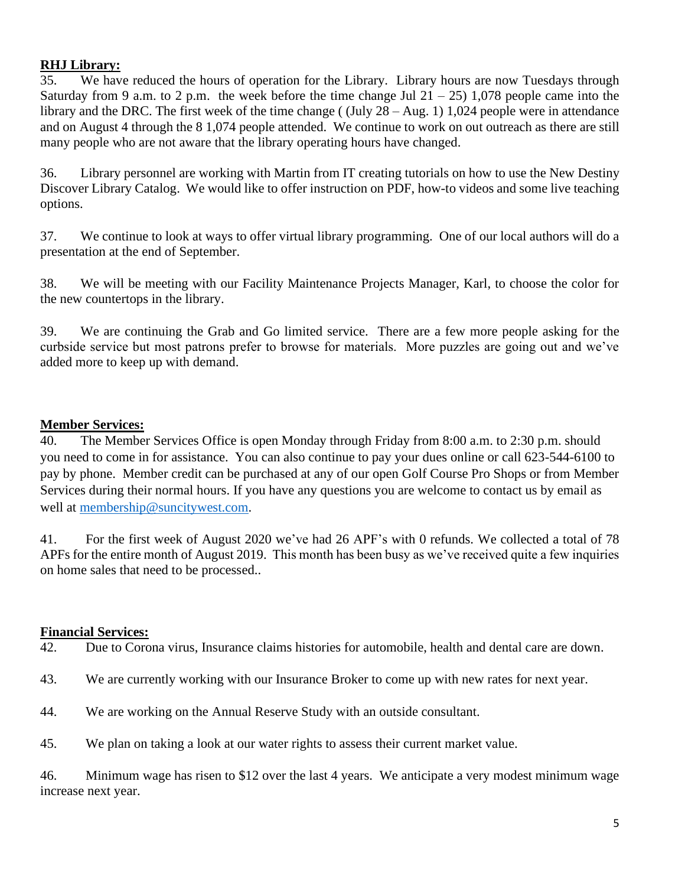#### **RHJ Library:**

35. We have reduced the hours of operation for the Library. Library hours are now Tuesdays through Saturday from 9 a.m. to 2 p.m. the week before the time change Jul  $21 - 25$ ) 1,078 people came into the library and the DRC. The first week of the time change ((July 28 – Aug. 1) 1,024 people were in attendance and on August 4 through the 8 1,074 people attended. We continue to work on out outreach as there are still many people who are not aware that the library operating hours have changed.

36. Library personnel are working with Martin from IT creating tutorials on how to use the New Destiny Discover Library Catalog. We would like to offer instruction on PDF, how-to videos and some live teaching options.

37. We continue to look at ways to offer virtual library programming. One of our local authors will do a presentation at the end of September.

38. We will be meeting with our Facility Maintenance Projects Manager, Karl, to choose the color for the new countertops in the library.

39. We are continuing the Grab and Go limited service. There are a few more people asking for the curbside service but most patrons prefer to browse for materials. More puzzles are going out and we've added more to keep up with demand.

#### **Member Services:**

40. The Member Services Office is open Monday through Friday from 8:00 a.m. to 2:30 p.m. should you need to come in for assistance. You can also continue to pay your dues online or call 623-544-6100 to pay by phone. Member credit can be purchased at any of our open Golf Course Pro Shops or from Member Services during their normal hours. If you have any questions you are welcome to contact us by email as well at [membership@suncitywest.com.](mailto:membership@suncitywest.com)

41. For the first week of August 2020 we've had 26 APF's with 0 refunds. We collected a total of 78 APFs for the entire month of August 2019. This month has been busy as we've received quite a few inquiries on home sales that need to be processed..

#### **Financial Services:**

42. Due to Corona virus, Insurance claims histories for automobile, health and dental care are down.

- 43. We are currently working with our Insurance Broker to come up with new rates for next year.
- 44. We are working on the Annual Reserve Study with an outside consultant.
- 45. We plan on taking a look at our water rights to assess their current market value.

46. Minimum wage has risen to \$12 over the last 4 years. We anticipate a very modest minimum wage increase next year.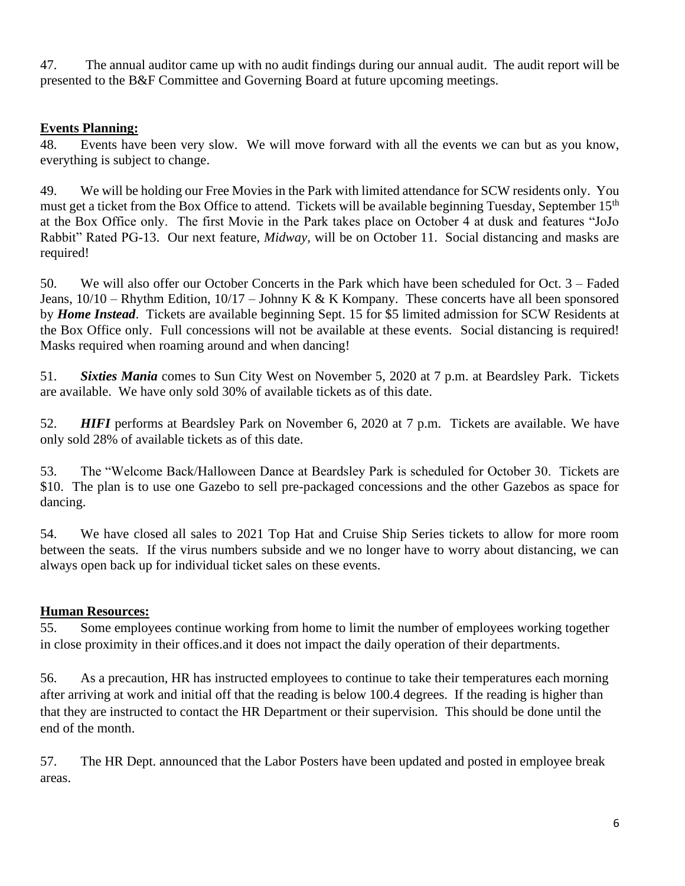47. The annual auditor came up with no audit findings during our annual audit. The audit report will be presented to the B&F Committee and Governing Board at future upcoming meetings.

#### **Events Planning:**

48. Events have been very slow. We will move forward with all the events we can but as you know, everything is subject to change.

49. We will be holding our Free Movies in the Park with limited attendance for SCW residents only. You must get a ticket from the Box Office to attend. Tickets will be available beginning Tuesday, September 15th at the Box Office only. The first Movie in the Park takes place on October 4 at dusk and features "JoJo Rabbit" Rated PG-13. Our next feature, *Midway,* will be on October 11. Social distancing and masks are required!

50. We will also offer our October Concerts in the Park which have been scheduled for Oct. 3 – Faded Jeans,  $10/10$  – Rhythm Edition,  $10/17$  – Johnny K & K Kompany. These concerts have all been sponsored by *Home Instead*. Tickets are available beginning Sept. 15 for \$5 limited admission for SCW Residents at the Box Office only. Full concessions will not be available at these events. Social distancing is required! Masks required when roaming around and when dancing!

51. *Sixties Mania* comes to Sun City West on November 5, 2020 at 7 p.m. at Beardsley Park. Tickets are available. We have only sold 30% of available tickets as of this date.

52. *HIFI* performs at Beardsley Park on November 6, 2020 at 7 p.m. Tickets are available. We have only sold 28% of available tickets as of this date.

53. The "Welcome Back/Halloween Dance at Beardsley Park is scheduled for October 30. Tickets are \$10. The plan is to use one Gazebo to sell pre-packaged concessions and the other Gazebos as space for dancing.

54. We have closed all sales to 2021 Top Hat and Cruise Ship Series tickets to allow for more room between the seats. If the virus numbers subside and we no longer have to worry about distancing, we can always open back up for individual ticket sales on these events.

#### **Human Resources:**

55. Some employees continue working from home to limit the number of employees working together in close proximity in their offices.and it does not impact the daily operation of their departments.

56. As a precaution, HR has instructed employees to continue to take their temperatures each morning after arriving at work and initial off that the reading is below 100.4 degrees. If the reading is higher than that they are instructed to contact the HR Department or their supervision. This should be done until the end of the month.

57. The HR Dept. announced that the Labor Posters have been updated and posted in employee break areas.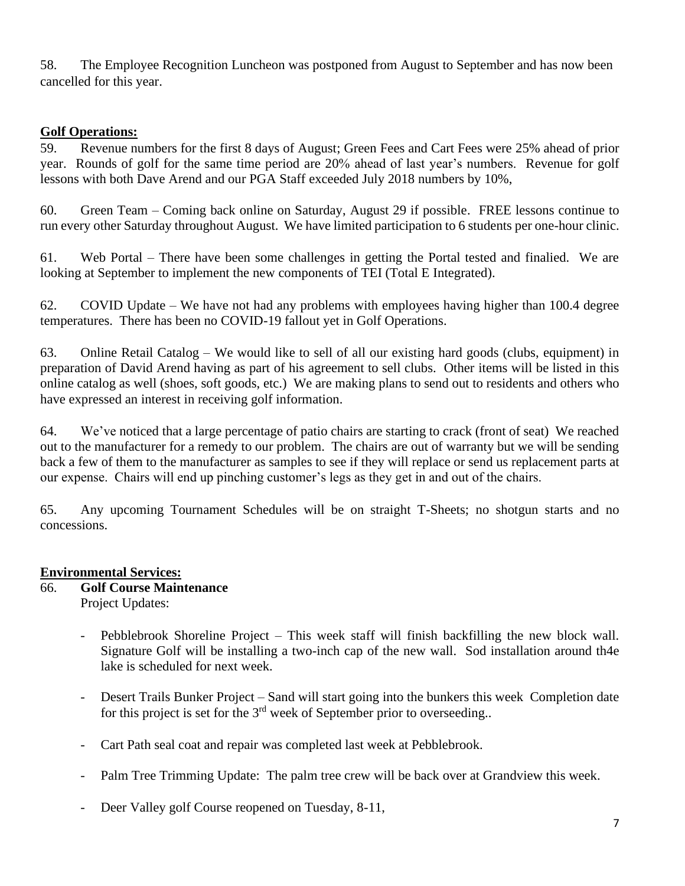58. The Employee Recognition Luncheon was postponed from August to September and has now been cancelled for this year.

#### **Golf Operations:**

59. Revenue numbers for the first 8 days of August; Green Fees and Cart Fees were 25% ahead of prior year. Rounds of golf for the same time period are 20% ahead of last year's numbers. Revenue for golf lessons with both Dave Arend and our PGA Staff exceeded July 2018 numbers by 10%,

60. Green Team – Coming back online on Saturday, August 29 if possible. FREE lessons continue to run every other Saturday throughout August. We have limited participation to 6 students per one-hour clinic.

61. Web Portal – There have been some challenges in getting the Portal tested and finalied. We are looking at September to implement the new components of TEI (Total E Integrated).

62. COVID Update – We have not had any problems with employees having higher than 100.4 degree temperatures. There has been no COVID-19 fallout yet in Golf Operations.

63. Online Retail Catalog – We would like to sell of all our existing hard goods (clubs, equipment) in preparation of David Arend having as part of his agreement to sell clubs. Other items will be listed in this online catalog as well (shoes, soft goods, etc.) We are making plans to send out to residents and others who have expressed an interest in receiving golf information.

64. We've noticed that a large percentage of patio chairs are starting to crack (front of seat) We reached out to the manufacturer for a remedy to our problem. The chairs are out of warranty but we will be sending back a few of them to the manufacturer as samples to see if they will replace or send us replacement parts at our expense. Chairs will end up pinching customer's legs as they get in and out of the chairs.

65. Any upcoming Tournament Schedules will be on straight T-Sheets; no shotgun starts and no concessions.

#### **Environmental Services:**

- 66. **Golf Course Maintenance** Project Updates:
	- Pebblebrook Shoreline Project This week staff will finish backfilling the new block wall. Signature Golf will be installing a two-inch cap of the new wall. Sod installation around th4e lake is scheduled for next week.
	- Desert Trails Bunker Project Sand will start going into the bunkers this week Completion date for this project is set for the  $3<sup>rd</sup>$  week of September prior to overseeding..
	- Cart Path seal coat and repair was completed last week at Pebblebrook.
	- Palm Tree Trimming Update: The palm tree crew will be back over at Grandview this week.
	- Deer Valley golf Course reopened on Tuesday, 8-11,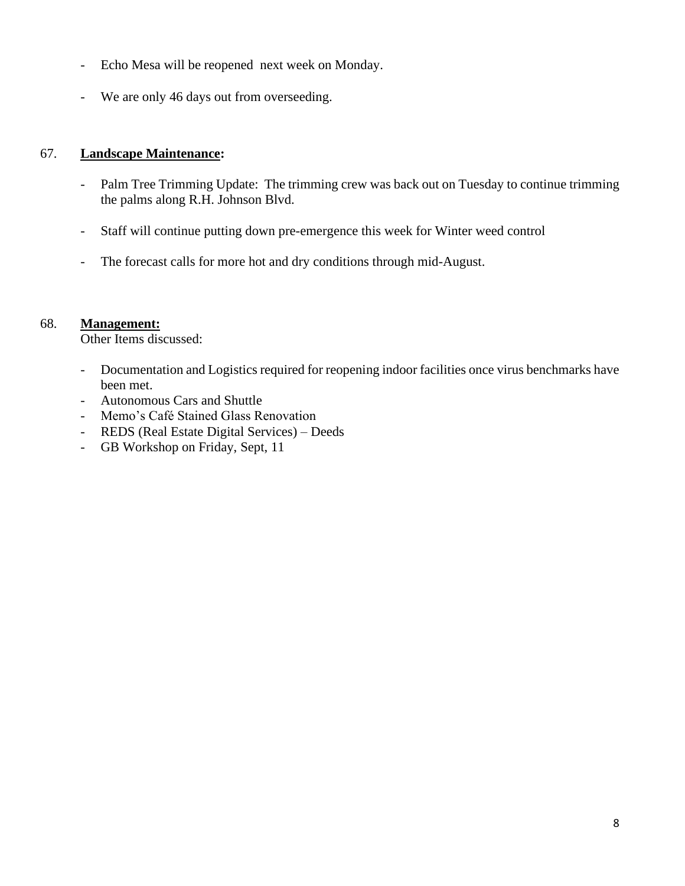- Echo Mesa will be reopened next week on Monday.
- We are only 46 days out from overseeding.

#### 67. **Landscape Maintenance:**

- Palm Tree Trimming Update: The trimming crew was back out on Tuesday to continue trimming the palms along R.H. Johnson Blvd.
- Staff will continue putting down pre-emergence this week for Winter weed control
- The forecast calls for more hot and dry conditions through mid-August.

#### 68. **Management:**

Other Items discussed:

- Documentation and Logistics required for reopening indoor facilities once virus benchmarks have been met.
- Autonomous Cars and Shuttle
- Memo's Café Stained Glass Renovation
- REDS (Real Estate Digital Services) Deeds
- GB Workshop on Friday, Sept, 11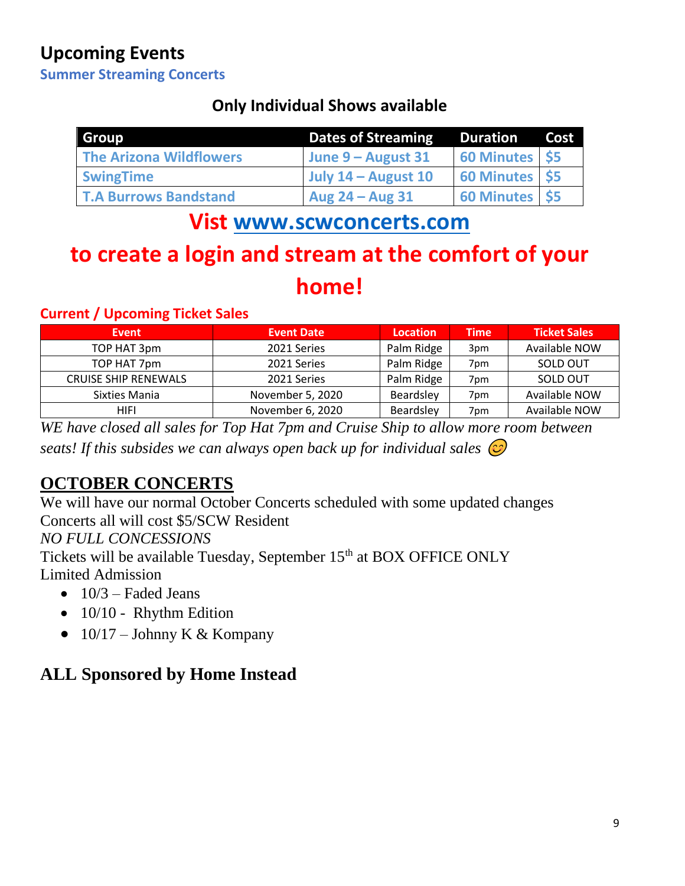# **Upcoming Events**

**Summer Streaming Concerts**

### **Only Individual Shows available**

| Group                        | <b>Dates of Streaming</b> |                | Cost |
|------------------------------|---------------------------|----------------|------|
| The Arizona Wildflowers      | June 9 – August 31        | 60 Minutes \$5 |      |
| <b>SwingTime</b>             | July $14 -$ August $10$   | 60 Minutes \$5 |      |
| <b>T.A Burrows Bandstand</b> | Aug $24 - Aug$ 31         | 60 Minutes \$5 |      |

# **Vist [www.scwconcerts.com](http://www.scwconcerts.com/)**

# **to create a login and stream at the comfort of your home!**

#### **Current / Upcoming Ticket Sales**

| <b>Event</b>                | <b>Event Date</b> | <b>Location</b> | <b>Time</b>     | <b>Ticket Sales</b> |
|-----------------------------|-------------------|-----------------|-----------------|---------------------|
| TOP HAT 3pm                 | 2021 Series       | Palm Ridge      | 3 <sub>pm</sub> | Available NOW       |
| TOP HAT 7pm                 | 2021 Series       | Palm Ridge      | 7 <sub>pm</sub> | SOLD OUT            |
| <b>CRUISE SHIP RENEWALS</b> | 2021 Series       | Palm Ridge      | 7 <sub>pm</sub> | SOLD OUT            |
| Sixties Mania               | November 5, 2020  | Beardsley       | 7 <sub>pm</sub> | Available NOW       |
| <b>HIFI</b>                 | November 6, 2020  | Beardsley       | 7 <sub>pm</sub> | Available NOW       |

*WE have closed all sales for Top Hat 7pm and Cruise Ship to allow more room between seats! If this subsides we can always open back up for individual sales* 

# **OCTOBER CONCERTS**

We will have our normal October Concerts scheduled with some updated changes Concerts all will cost \$5/SCW Resident *NO FULL CONCESSIONS* Tickets will be available Tuesday, September 15<sup>th</sup> at BOX OFFICE ONLY Limited Admission

- $\bullet$  10/3 Faded Jeans
- 10/10 Rhythm Edition
- $10/17$  Johnny K & Kompany

## **ALL Sponsored by Home Instead**